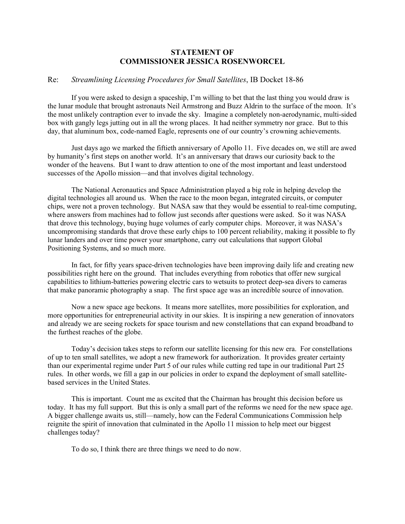## **STATEMENT OF COMMISSIONER JESSICA ROSENWORCEL**

## Re: *Streamlining Licensing Procedures for Small Satellites*, IB Docket 18-86

If you were asked to design a spaceship, I'm willing to bet that the last thing you would draw is the lunar module that brought astronauts Neil Armstrong and Buzz Aldrin to the surface of the moon. It's the most unlikely contraption ever to invade the sky. Imagine a completely non-aerodynamic, multi-sided box with gangly legs jutting out in all the wrong places. It had neither symmetry nor grace. But to this day, that aluminum box, code-named Eagle, represents one of our country's crowning achievements.

Just days ago we marked the fiftieth anniversary of Apollo 11. Five decades on, we still are awed by humanity's first steps on another world. It's an anniversary that draws our curiosity back to the wonder of the heavens. But I want to draw attention to one of the most important and least understood successes of the Apollo mission—and that involves digital technology.

The National Aeronautics and Space Administration played a big role in helping develop the digital technologies all around us. When the race to the moon began, integrated circuits, or computer chips, were not a proven technology. But NASA saw that they would be essential to real-time computing, where answers from machines had to follow just seconds after questions were asked. So it was NASA that drove this technology, buying huge volumes of early computer chips. Moreover, it was NASA's uncompromising standards that drove these early chips to 100 percent reliability, making it possible to fly lunar landers and over time power your smartphone, carry out calculations that support Global Positioning Systems, and so much more.

In fact, for fifty years space-driven technologies have been improving daily life and creating new possibilities right here on the ground. That includes everything from robotics that offer new surgical capabilities to lithium-batteries powering electric cars to wetsuits to protect deep-sea divers to cameras that make panoramic photography a snap. The first space age was an incredible source of innovation.

Now a new space age beckons. It means more satellites, more possibilities for exploration, and more opportunities for entrepreneurial activity in our skies. It is inspiring a new generation of innovators and already we are seeing rockets for space tourism and new constellations that can expand broadband to the furthest reaches of the globe.

Today's decision takes steps to reform our satellite licensing for this new era. For constellations of up to ten small satellites, we adopt a new framework for authorization. It provides greater certainty than our experimental regime under Part 5 of our rules while cutting red tape in our traditional Part 25 rules. In other words, we fill a gap in our policies in order to expand the deployment of small satellitebased services in the United States.

This is important. Count me as excited that the Chairman has brought this decision before us today. It has my full support. But this is only a small part of the reforms we need for the new space age. A bigger challenge awaits us, still—namely, how can the Federal Communications Commission help reignite the spirit of innovation that culminated in the Apollo 11 mission to help meet our biggest challenges today?

To do so, I think there are three things we need to do now.